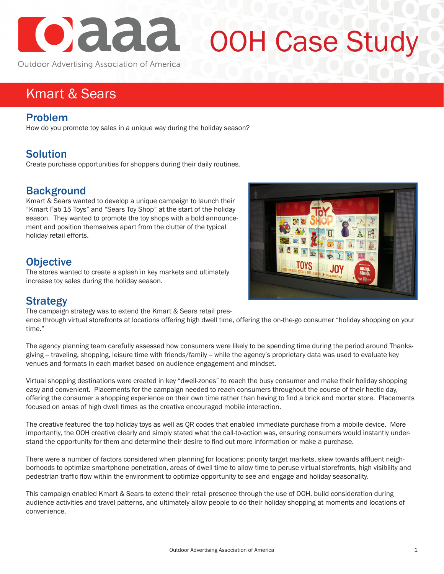

# OOH Case Study

Outdoor Advertising Association of America

# Kmart & Sears

#### Problem

How do you promote toy sales in a unique way during the holiday season?

#### Solution

Create purchase opportunities for shoppers during their daily routines.

#### **Background**

Kmart & Sears wanted to develop a unique campaign to launch their "Kmart Fab 15 Toys" and "Sears Toy Shop" at the start of the holiday season. They wanted to promote the toy shops with a bold announcement and position themselves apart from the clutter of the typical holiday retail efforts.

#### **Objective**

The stores wanted to create a splash in key markets and ultimately increase toy sales during the holiday season.



### **Strategy**

The campaign strategy was to extend the Kmart & Sears retail pres-

ence through virtual storefronts at locations offering high dwell time, offering the on-the-go consumer "holiday shopping on your time."

The agency planning team carefully assessed how consumers were likely to be spending time during the period around Thanksgiving -- traveling, shopping, leisure time with friends/family -- while the agency's proprietary data was used to evaluate key venues and formats in each market based on audience engagement and mindset.

Virtual shopping destinations were created in key "dwell-zones" to reach the busy consumer and make their holiday shopping easy and convenient. Placements for the campaign needed to reach consumers throughout the course of their hectic day, offering the consumer a shopping experience on their own time rather than having to find a brick and mortar store. Placements focused on areas of high dwell times as the creative encouraged mobile interaction.

The creative featured the top holiday toys as well as QR codes that enabled immediate purchase from a mobile device. More importantly, the OOH creative clearly and simply stated what the call-to-action was, ensuring consumers would instantly understand the opportunity for them and determine their desire to find out more information or make a purchase.

There were a number of factors considered when planning for locations: priority target markets, skew towards affluent neighborhoods to optimize smartphone penetration, areas of dwell time to allow time to peruse virtual storefronts, high visibility and pedestrian traffic flow within the environment to optimize opportunity to see and engage and holiday seasonality.

This campaign enabled Kmart & Sears to extend their retail presence through the use of OOH, build consideration during audience activities and travel patterns, and ultimately allow people to do their holiday shopping at moments and locations of convenience.